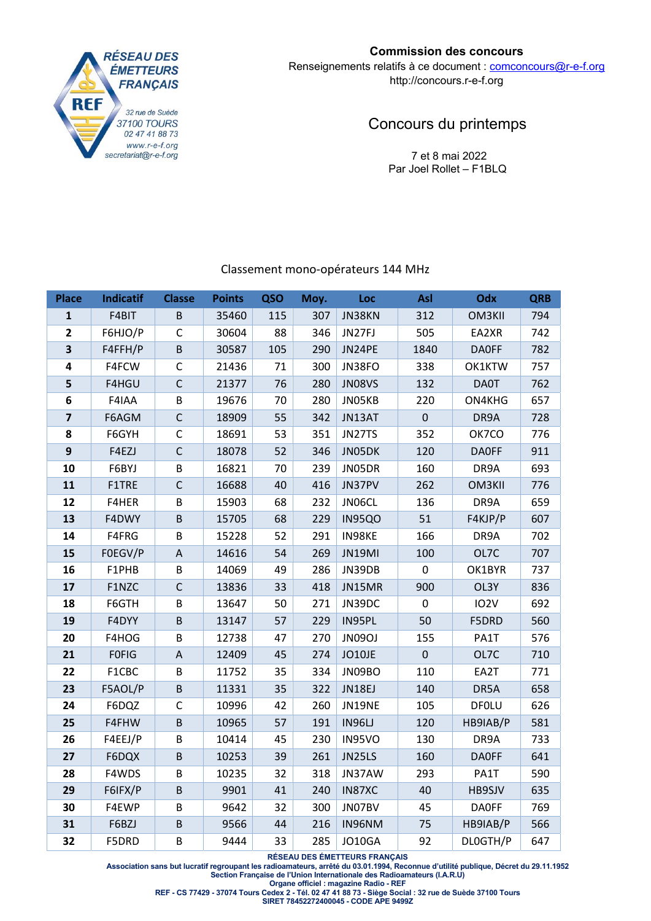

# **Commission des concours**

Renseignements relatifs à ce document : comconcours@r-e-f.org http://concours.r-e-f.org

# Concours du printemps

 7 et 8 mai 2022 Par Joel Rollet – F1BLQ

# Classement mono‐opérateurs 144 MHz

| <b>Place</b>            | <b>Indicatif</b> | <b>Classe</b>             | <b>Points</b> | QSO | Moy. | Loc           | Asl                 | Odx               | <b>QRB</b> |
|-------------------------|------------------|---------------------------|---------------|-----|------|---------------|---------------------|-------------------|------------|
| $\mathbf{1}$            | F4BIT            | B                         | 35460         | 115 | 307  | JN38KN        | 312                 | OM3KII            | 794        |
| $\overline{2}$          | F6HJO/P          | $\mathsf{C}$              | 30604         | 88  | 346  | JN27FJ        | 505                 | EA2XR             | 742        |
| $\overline{\mathbf{3}}$ | F4FFH/P          | B                         | 30587         | 105 | 290  | JN24PE        | 1840                | <b>DAOFF</b>      | 782        |
| 4                       | F4FCW            | $\mathsf{C}$              | 21436         | 71  | 300  | JN38FO        | 338                 | OK1KTW            | 757        |
| 5                       | F4HGU            | $\mathsf{C}$              | 21377         | 76  | 280  | <b>JN08VS</b> | 132                 | <b>DA0T</b>       | 762        |
| 6                       | F4IAA            | B                         | 19676         | 70  | 280  | JN05KB        | 220                 | ON4KHG            | 657        |
| $\overline{\mathbf{z}}$ | F6AGM            | $\mathsf{C}$              | 18909         | 55  | 342  | JN13AT        | $\pmb{0}$           | DR9A              | 728        |
| 8                       | F6GYH            | $\mathsf C$               | 18691         | 53  | 351  | JN27TS        | 352                 | OK7CO             | 776        |
| 9                       | F4EZJ            | $\mathsf{C}$              | 18078         | 52  | 346  | JN05DK        | 120                 | <b>DAOFF</b>      | 911        |
| 10                      | F6BYJ            | B                         | 16821         | 70  | 239  | JN05DR        | 160                 | DR9A              | 693        |
| 11                      | F1TRE            | $\mathsf{C}$              | 16688         | 40  | 416  | JN37PV        | 262                 | OM3KII            | 776        |
| 12                      | F4HER            | B                         | 15903         | 68  | 232  | JN06CL        | 136                 | DR9A              | 659        |
| 13                      | F4DWY            | B                         | 15705         | 68  | 229  | <b>IN95QO</b> | 51                  | F4KJP/P           | 607        |
| 14                      | F4FRG            | B                         | 15228         | 52  | 291  | IN98KE        | 166                 | DR9A              | 702        |
| 15                      | FOEGV/P          | $\mathsf A$               | 14616         | 54  | 269  | JN19MI        | 100                 | OL7C              | 707        |
| 16                      | F1PHB            | B                         | 14069         | 49  | 286  | JN39DB        | 0                   | OK1BYR            | 737        |
| 17                      | F1NZC            | $\mathsf C$               | 13836         | 33  | 418  | JN15MR        | 900                 | OL3Y              | 836        |
| 18                      | F6GTH            | B                         | 13647         | 50  | 271  | JN39DC        | 0                   | IO <sub>2</sub> V | 692        |
| 19                      | F4DYY            | B                         | 13147         | 57  | 229  | IN95PL        | 50                  | F5DRD             | 560        |
| 20                      | F4HOG            | B                         | 12738         | 47  | 270  | JN09OJ        | 155                 | PA1T              | 576        |
| 21                      | <b>FOFIG</b>     | $\boldsymbol{\mathsf{A}}$ | 12409         | 45  | 274  | JO10JE        | $\mathsf{O}\xspace$ | OL7C              | 710        |
| 22                      | F1CBC            | B                         | 11752         | 35  | 334  | JN09BO        | 110                 | EA2T              | 771        |
| 23                      | F5AOL/P          | B                         | 11331         | 35  | 322  | JN18EJ        | 140                 | DR5A              | 658        |
| 24                      | F6DQZ            | $\mathsf{C}$              | 10996         | 42  | 260  | JN19NE        | 105                 | <b>DFOLU</b>      | 626        |
| 25                      | F4FHW            | B                         | 10965         | 57  | 191  | IN96LJ        | 120                 | HB9IAB/P          | 581        |
| 26                      | F4EEJ/P          | B                         | 10414         | 45  | 230  | <b>IN95VO</b> | 130                 | DR9A              | 733        |
| 27                      | F6DQX            | B                         | 10253         | 39  | 261  | JN25LS        | 160                 | <b>DAOFF</b>      | 641        |
| 28                      | F4WDS            | B                         | 10235         | 32  | 318  | JN37AW        | 293                 | PA1T              | 590        |
| 29                      | F6IFX/P          | B                         | 9901          | 41  | 240  | IN87XC        | 40                  | HB9SJV            | 635        |
| 30                      | F4EWP            | B                         | 9642          | 32  | 300  | JN07BV        | 45                  | <b>DAOFF</b>      | 769        |
| 31                      | F6BZJ            | $\sf B$                   | 9566          | 44  | 216  | IN96NM        | 75                  | HB9IAB/P          | 566        |
| 32                      | F5DRD            | B                         | 9444          | 33  | 285  | <b>JO10GA</b> | 92                  | DLOGTH/P          | 647        |

**RÉSEAU DES ÉMETTEURS FRANÇAIS** 

**Association sans but lucratif regroupant les radioamateurs, arrêté du 03.01.1994, Reconnue d'utilité publique, Décret du 29.11.1952 Section Française de l'Union Internationale des Radioamateurs (I.A.R.U)** 

**Organe officiel : magazine Radio - REF** 

**REF - CS 77429 - 37074 Tours Cedex 2 - Tél. 02 47 41 88 73 - Siège Social : 32 rue de Suède 37100 Tours**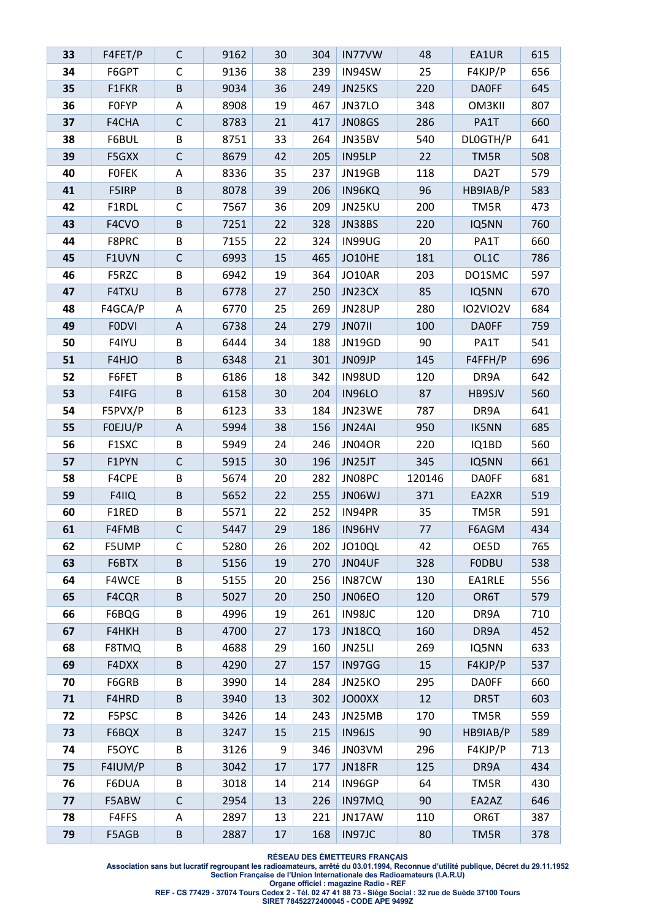| 33 | F4FET/P      | C                         | 9162 | 30 | 304 | IN77VW        | 48     | EA1UR           | 615 |
|----|--------------|---------------------------|------|----|-----|---------------|--------|-----------------|-----|
| 34 | F6GPT        | C                         | 9136 | 38 | 239 | IN94SW        | 25     | F4KJP/P         | 656 |
| 35 | F1FKR        | $\sf B$                   | 9034 | 36 | 249 | JN25KS        | 220    | <b>DAOFF</b>    | 645 |
| 36 | <b>FOFYP</b> | А                         | 8908 | 19 | 467 | JN37LO        | 348    | OM3KII          | 807 |
| 37 | F4CHA        | $\mathsf{C}$              | 8783 | 21 | 417 | JN08GS        | 286    | PA1T            | 660 |
| 38 | F6BUL        | B                         | 8751 | 33 | 264 | JN35BV        | 540    | DLOGTH/P        | 641 |
| 39 | F5GXX        | $\mathsf C$               | 8679 | 42 | 205 | IN95LP        | 22     | TM5R            | 508 |
| 40 | <b>FOFEK</b> | A                         | 8336 | 35 | 237 | JN19GB        | 118    | DA2T            | 579 |
| 41 | F5IRP        | $\sf B$                   | 8078 | 39 | 206 | IN96KQ        | 96     | HB9IAB/P        | 583 |
| 42 | F1RDL        | $\mathsf C$               | 7567 | 36 | 209 | JN25KU        | 200    | TM5R            | 473 |
| 43 | F4CVO        | $\sf B$                   | 7251 | 22 | 328 | JN38BS        | 220    | IQ5NN           | 760 |
| 44 | F8PRC        | B                         | 7155 | 22 | 324 | IN99UG        | 20     | PA1T            | 660 |
| 45 | F1UVN        | $\mathsf C$               | 6993 | 15 | 465 | JO10HE        | 181    | OL1C            | 786 |
| 46 | F5RZC        | B                         | 6942 | 19 | 364 | JO10AR        | 203    | DO1SMC          | 597 |
| 47 | F4TXU        | $\sf B$                   | 6778 | 27 | 250 | JN23CX        | 85     | IQ5NN           | 670 |
| 48 | F4GCA/P      | A                         | 6770 | 25 | 269 | <b>JN28UP</b> | 280    | <b>IO2VIO2V</b> | 684 |
| 49 | <b>FODVI</b> | A                         | 6738 | 24 | 279 | <b>JN07II</b> | 100    | <b>DAOFF</b>    | 759 |
| 50 | F4IYU        | В                         | 6444 | 34 | 188 | JN19GD        | 90     | PA1T            | 541 |
| 51 | F4HJO        | $\sf B$                   | 6348 | 21 | 301 | JN09JP        | 145    | F4FFH/P         | 696 |
| 52 | F6FET        | B                         | 6186 | 18 | 342 | IN98UD        | 120    | DR9A            | 642 |
| 53 | F4IFG        | $\sf B$                   | 6158 | 30 | 204 | <b>IN96LO</b> | 87     | HB9SJV          | 560 |
| 54 | F5PVX/P      | B                         | 6123 | 33 | 184 | JN23WE        | 787    | DR9A            | 641 |
| 55 | FOEJU/P      | $\boldsymbol{\mathsf{A}}$ | 5994 | 38 | 156 | JN24AI        | 950    | <b>IK5NN</b>    | 685 |
| 56 | F1SXC        | B                         | 5949 | 24 | 246 | JN04OR        | 220    | IQ1BD           | 560 |
| 57 | F1PYN        | $\mathsf C$               | 5915 | 30 | 196 | JN25JT        | 345    | IQ5NN           | 661 |
| 58 | F4CPE        | B                         | 5674 | 20 | 282 | JN08PC        | 120146 | <b>DA0FF</b>    | 681 |
| 59 | F4IIQ        | $\sf B$                   | 5652 | 22 | 255 | JN06WJ        | 371    | EA2XR           | 519 |
| 60 | F1RED        | B                         | 5571 | 22 | 252 | IN94PR        | 35     | TM5R            | 591 |
| 61 | F4FMB        | $\mathsf{C}$              | 5447 | 29 | 186 | IN96HV        | 77     | F6AGM           | 434 |
| 62 | F5UMP        | С                         | 5280 | 26 | 202 | JO10QL        | 42     | OE5D            | 765 |
| 63 | F6BTX        | B                         | 5156 | 19 | 270 | JN04UF        | 328    | <b>FODBU</b>    | 538 |
| 64 | F4WCE        | B                         | 5155 | 20 | 256 | IN87CW        | 130    | EA1RLE          | 556 |
| 65 | F4CQR        | $\sf B$                   | 5027 | 20 | 250 | JN06EO        | 120    | OR6T            | 579 |
| 66 | F6BQG        | B                         | 4996 | 19 | 261 | IN98JC        | 120    | DR9A            | 710 |
| 67 | F4HKH        | $\sf B$                   | 4700 | 27 | 173 | JN18CQ        | 160    | DR9A            | 452 |
| 68 | F8TMQ        | B                         | 4688 | 29 | 160 | JN25LI        | 269    | IQ5NN           | 633 |
| 69 | F4DXX        | B                         | 4290 | 27 | 157 | IN97GG        | 15     | F4KJP/P         | 537 |
| 70 | F6GRB        | B                         | 3990 | 14 | 284 | JN25KO        | 295    | <b>DAOFF</b>    | 660 |
| 71 | F4HRD        | $\sf B$                   | 3940 | 13 | 302 | JO00XX        | 12     | DR5T            | 603 |
| 72 | F5PSC        | B                         | 3426 | 14 | 243 | JN25MB        | 170    | TM5R            | 559 |
| 73 | F6BQX        | $\sf B$                   | 3247 | 15 | 215 | <b>IN96JS</b> | 90     | HB9IAB/P        | 589 |
| 74 | F5OYC        | B                         | 3126 | 9  | 346 | JN03VM        | 296    | F4KJP/P         | 713 |
| 75 | F4IUM/P      | $\sf B$                   | 3042 | 17 | 177 | JN18FR        | 125    | DR9A            | 434 |
| 76 | F6DUA        | B                         | 3018 | 14 | 214 | IN96GP        | 64     | TM5R            | 430 |
| 77 | F5ABW        | $\mathsf C$               | 2954 | 13 | 226 | IN97MQ        | 90     | EA2AZ           | 646 |
| 78 | F4FFS        | A                         | 2897 | 13 | 221 | JN17AW        | 110    | OR6T            | 387 |
| 79 | F5AGB        | $\sf B$                   | 2887 | 17 | 168 | IN97JC        | 80     | TM5R            | 378 |

**RÉSEAU DES ÉMETTEURS FRANÇAIS** 

**Association sans but lucratif regroupant les radioamateurs, arrêté du 03.01.1994, Reconnue d'utilité publique, Décret du 29.11.1952 Section Française de l'Union Internationale des Radioamateurs (I.A.R.U)** 

**Organe officiel : magazine Radio - REF** 

**REF - CS 77429 - 37074 Tours Cedex 2 - Tél. 02 47 41 88 73 - Siège Social : 32 rue de Suède 37100 Tours**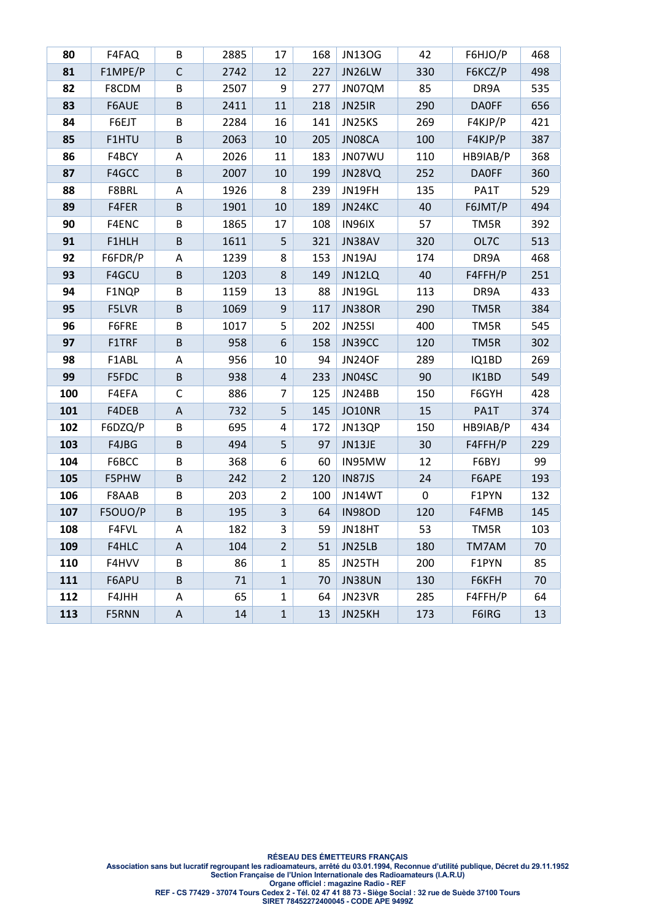| 80  | F4FAQ   | В            | 2885 | 17             | 168 | <b>JN13OG</b> | 42          | F6HJO/P      | 468 |
|-----|---------|--------------|------|----------------|-----|---------------|-------------|--------------|-----|
| 81  | F1MPE/P | $\mathsf{C}$ | 2742 | 12             | 227 | JN26LW        | 330         | F6KCZ/P      | 498 |
| 82  | F8CDM   | $\sf B$      | 2507 | 9              | 277 | JN07QM        | 85          | DR9A         | 535 |
| 83  | F6AUE   | B            | 2411 | 11             | 218 | JN25IR        | 290         | <b>DAOFF</b> | 656 |
| 84  | F6EJT   | B            | 2284 | 16             | 141 | JN25KS        | 269         | F4KJP/P      | 421 |
| 85  | F1HTU   | B            | 2063 | 10             | 205 | JN08CA        | 100         | F4KJP/P      | 387 |
| 86  | F4BCY   | A            | 2026 | 11             | 183 | JN07WU        | 110         | HB9IAB/P     | 368 |
| 87  | F4GCC   | B            | 2007 | 10             | 199 | JN28VQ        | 252         | <b>DAOFF</b> | 360 |
| 88  | F8BRL   | A            | 1926 | 8              | 239 | JN19FH        | 135         | PA1T         | 529 |
| 89  | F4FER   | $\sf B$      | 1901 | 10             | 189 | JN24KC        | 40          | F6JMT/P      | 494 |
| 90  | F4ENC   | B            | 1865 | 17             | 108 | IN96IX        | 57          | TM5R         | 392 |
| 91  | F1HLH   | B            | 1611 | 5              | 321 | JN38AV        | 320         | OL7C         | 513 |
| 92  | F6FDR/P | Α            | 1239 | 8              | 153 | JN19AJ        | 174         | DR9A         | 468 |
| 93  | F4GCU   | $\sf B$      | 1203 | 8              | 149 | JN12LQ        | 40          | F4FFH/P      | 251 |
| 94  | F1NQP   | B            | 1159 | 13             | 88  | JN19GL        | 113         | DR9A         | 433 |
| 95  | F5LVR   | $\sf B$      | 1069 | 9              | 117 | <b>JN38OR</b> | 290         | TM5R         | 384 |
| 96  | F6FRE   | B            | 1017 | 5              | 202 | JN25SI        | 400         | TM5R         | 545 |
| 97  | F1TRF   | B            | 958  | 6              | 158 | JN39CC        | 120         | TM5R         | 302 |
| 98  | F1ABL   | A            | 956  | 10             | 94  | <b>JN24OF</b> | 289         | IQ1BD        | 269 |
| 99  | F5FDC   | $\sf B$      | 938  | $\sqrt{4}$     | 233 | JN04SC        | 90          | IK1BD        | 549 |
| 100 | F4EFA   | С            | 886  | $\overline{7}$ | 125 | JN24BB        | 150         | F6GYH        | 428 |
| 101 | F4DEB   | $\mathsf A$  | 732  | 5              | 145 | JO10NR        | 15          | PA1T         | 374 |
| 102 | F6DZQ/P | B            | 695  | 4              | 172 | JN13QP        | 150         | HB9IAB/P     | 434 |
| 103 | F4JBG   | B            | 494  | 5              | 97  | JN13JE        | 30          | F4FFH/P      | 229 |
| 104 | F6BCC   | B            | 368  | 6              | 60  | IN95MW        | 12          | F6BYJ        | 99  |
| 105 | F5PHW   | $\sf B$      | 242  | $\overline{2}$ | 120 | IN87JS        | 24          | F6APE        | 193 |
| 106 | F8AAB   | B            | 203  | $\overline{2}$ | 100 | JN14WT        | $\mathbf 0$ | F1PYN        | 132 |
| 107 | F5OUO/P | B            | 195  | $\mathsf{3}$   | 64  | <b>IN98OD</b> | 120         | F4FMB        | 145 |
| 108 | F4FVL   | A            | 182  | 3              | 59  | JN18HT        | 53          | TM5R         | 103 |
| 109 | F4HLC   | A            | 104  | $\overline{2}$ | 51  | JN25LB        | 180         | TM7AM        | 70  |
| 110 | F4HVV   | B            | 86   | $\mathbf{1}$   | 85  | JN25TH        | 200         | F1PYN        | 85  |
| 111 | F6APU   | $\sf B$      | 71   | $\mathbf{1}$   | 70  | <b>JN38UN</b> | 130         | F6KFH        | 70  |
| 112 | F4JHH   | Α            | 65   | $\mathbf{1}$   | 64  | JN23VR        | 285         | F4FFH/P      | 64  |
| 113 | F5RNN   | A            | 14   | $\mathbf{1}$   | 13  | JN25KH        | 173         | F6IRG        | 13  |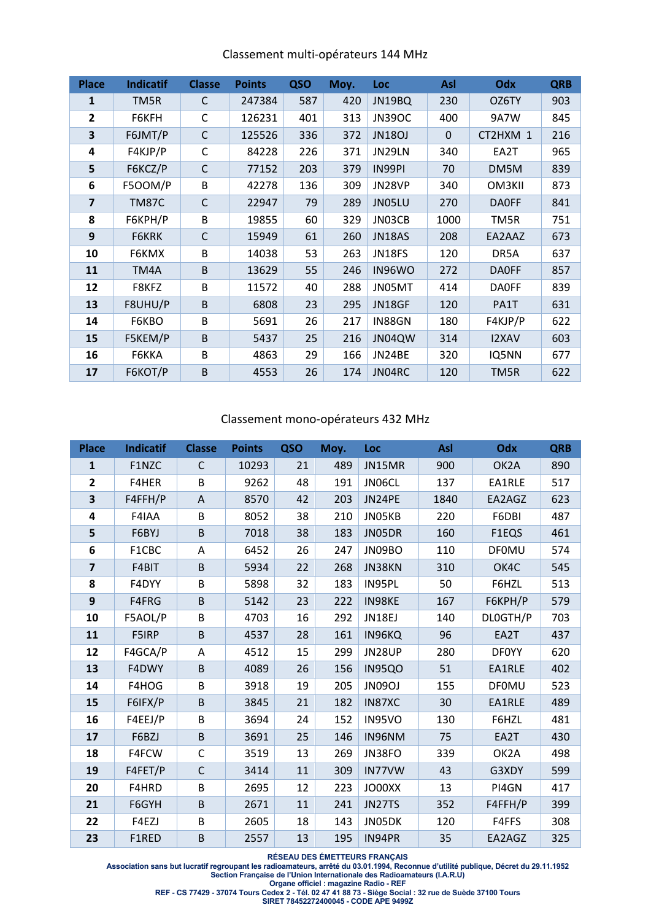| <b>Place</b> | <b>Indicatif</b> | <b>Classe</b> | <b>Points</b> | QSO | Moy. | Loc           | Asl      | Odx          | <b>QRB</b> |
|--------------|------------------|---------------|---------------|-----|------|---------------|----------|--------------|------------|
| 1            | TM5R             | C             | 247384        | 587 | 420  | JN19BQ        | 230      | OZ6TY        | 903        |
| 2            | F6KFH            | C             | 126231        | 401 | 313  | <b>JN39OC</b> | 400      | <b>9A7W</b>  | 845        |
| 3            | F6JMT/P          | $\mathsf{C}$  | 125526        | 336 | 372  | <b>JN18OJ</b> | $\Omega$ | CT2HXM 1     | 216        |
| 4            | F4KJP/P          | C             | 84228         | 226 | 371  | JN29LN        | 340      | EA2T         | 965        |
| 5            | F6KCZ/P          | $\mathsf{C}$  | 77152         | 203 | 379  | IN99PI        | 70       | DM5M         | 839        |
| 6            | F500M/P          | B             | 42278         | 136 | 309  | JN28VP        | 340      | OM3KII       | 873        |
| 7            | <b>TM87C</b>     | C             | 22947         | 79  | 289  | JN05LU        | 270      | <b>DAOFF</b> | 841        |
| 8            | F6KPH/P          | B             | 19855         | 60  | 329  | JN03CB        | 1000     | TM5R         | 751        |
| 9            | F6KRK            | $\mathsf{C}$  | 15949         | 61  | 260  | <b>JN18AS</b> | 208      | EA2AAZ       | 673        |
| 10           | F6KMX            | B             | 14038         | 53  | 263  | <b>JN18FS</b> | 120      | DR5A         | 637        |
| 11           | TM4A             | B             | 13629         | 55  | 246  | IN96WO        | 272      | <b>DAOFF</b> | 857        |
| 12           | F8KFZ            | B             | 11572         | 40  | 288  | JN05MT        | 414      | <b>DAOFF</b> | 839        |
| 13           | F8UHU/P          | B             | 6808          | 23  | 295  | JN18GF        | 120      | PA1T         | 631        |
| 14           | F6KBO            | B             | 5691          | 26  | 217  | IN88GN        | 180      | F4KJP/P      | 622        |
| 15           | F5KEM/P          | B             | 5437          | 25  | 216  | JN04QW        | 314      | <b>I2XAV</b> | 603        |
| 16           | F6KKA            | B             | 4863          | 29  | 166  | JN24BE        | 320      | IQ5NN        | 677        |
| 17           | F6KOT/P          | B             | 4553          | 26  | 174  | JN04RC        | 120      | TM5R         | 622        |

#### Classement mono‐opérateurs 432 MHz

| <b>Place</b>            | <b>Indicatif</b> | <b>Classe</b> | <b>Points</b> | QSO | Moy. | Loc           | Asl  | Odx               | <b>QRB</b> |
|-------------------------|------------------|---------------|---------------|-----|------|---------------|------|-------------------|------------|
| $\mathbf{1}$            | F1NZC            | C             | 10293         | 21  | 489  | JN15MR        | 900  | OK <sub>2</sub> A | 890        |
| $\overline{2}$          | F4HER            | B             | 9262          | 48  | 191  | JN06CL        | 137  | EA1RLE            | 517        |
| 3                       | F4FFH/P          | A             | 8570          | 42  | 203  | JN24PE        | 1840 | EA2AGZ            | 623        |
| $\overline{\mathbf{r}}$ | F4IAA            | B             | 8052          | 38  | 210  | JN05KB        | 220  | F6DBI             | 487        |
| 5                       | F6BYJ            | B             | 7018          | 38  | 183  | JN05DR        | 160  | F1EQS             | 461        |
| 6                       | F1CBC            | Α             | 6452          | 26  | 247  | JN09BO        | 110  | <b>DF0MU</b>      | 574        |
| $\overline{7}$          | F4BIT            | B             | 5934          | 22  | 268  | JN38KN        | 310  | OK4C              | 545        |
| 8                       | F4DYY            | B             | 5898          | 32  | 183  | IN95PL        | 50   | F6HZL             | 513        |
| 9                       | F4FRG            | B             | 5142          | 23  | 222  | IN98KE        | 167  | F6KPH/P           | 579        |
| 10                      | F5AOL/P          | B             | 4703          | 16  | 292  | JN18EJ        | 140  | DLOGTH/P          | 703        |
| 11                      | F5IRP            | B             | 4537          | 28  | 161  | IN96KQ        | 96   | EA2T              | 437        |
| 12                      | F4GCA/P          | Α             | 4512          | 15  | 299  | <b>JN28UP</b> | 280  | <b>DF0YY</b>      | 620        |
| 13                      | F4DWY            | B             | 4089          | 26  | 156  | <b>IN95QO</b> | 51   | EA1RLE            | 402        |
| 14                      | F4HOG            | B             | 3918          | 19  | 205  | <b>JN09OJ</b> | 155  | <b>DF0MU</b>      | 523        |
| 15                      | F6IFX/P          | B             | 3845          | 21  | 182  | IN87XC        | 30   | EA1RLE            | 489        |
| 16                      | F4EEJ/P          | B             | 3694          | 24  | 152  | <b>IN95VO</b> | 130  | F6HZL             | 481        |
| 17                      | F6BZJ            | B             | 3691          | 25  | 146  | IN96NM        | 75   | EA2T              | 430        |
| 18                      | F4FCW            | $\mathsf{C}$  | 3519          | 13  | 269  | JN38FO        | 339  | OK2A              | 498        |
| 19                      | F4FET/P          | $\mathsf{C}$  | 3414          | 11  | 309  | IN77VW        | 43   | G3XDY             | 599        |
| 20                      | F4HRD            | B             | 2695          | 12  | 223  | JO00XX        | 13   | PI4GN             | 417        |
| 21                      | F6GYH            | B             | 2671          | 11  | 241  | JN27TS        | 352  | F4FFH/P           | 399        |
| 22                      | F4EZJ            | B             | 2605          | 18  | 143  | JN05DK        | 120  | F4FFS             | 308        |
| 23                      | F1RED            | B             | 2557          | 13  | 195  | IN94PR        | 35   | EA2AGZ            | 325        |

**RÉSEAU DES ÉMETTEURS FRANÇAIS** 

**Association sans but lucratif regroupant les radioamateurs, arrêté du 03.01.1994, Reconnue d'utilité publique, Décret du 29.11.1952 Section Française de l'Union Internationale des Radioamateurs (I.A.R.U)** 

**Organe officiel : magazine Radio - REF** 

**REF - CS 77429 - 37074 Tours Cedex 2 - Tél. 02 47 41 88 73 - Siège Social : 32 rue de Suède 37100 Tours**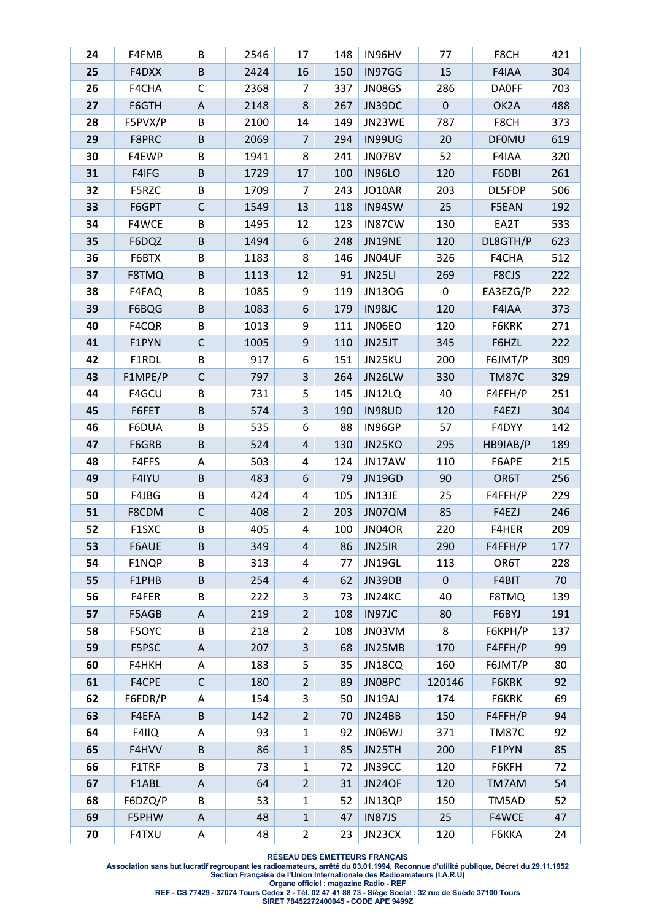| 24       | F4FMB          | В                         | 2546       | 17                  | 148        | IN96HV           | 77        | F8CH              | 421        |
|----------|----------------|---------------------------|------------|---------------------|------------|------------------|-----------|-------------------|------------|
| 25       | F4DXX          | B                         | 2424       | 16                  | 150        | IN97GG           | 15        | F4IAA             | 304        |
| 26       | F4CHA          | $\mathsf C$               | 2368       | 7                   | 337        | JN08GS           | 286       | <b>DAOFF</b>      | 703        |
| 27       | F6GTH          | $\boldsymbol{\mathsf{A}}$ | 2148       | 8                   | 267        | JN39DC           | $\pmb{0}$ | OK <sub>2</sub> A | 488        |
| 28       | F5PVX/P        | B                         | 2100       | 14                  | 149        | JN23WE           | 787       | F8CH              | 373        |
| 29       | F8PRC          | $\sf B$                   | 2069       | 7                   | 294        | IN99UG           | 20        | <b>DF0MU</b>      | 619        |
| 30       | F4EWP          | B                         | 1941       | 8                   | 241        | JN07BV           | 52        | F4IAA             | 320        |
| 31       | F4IFG          | $\sf B$                   | 1729       | 17                  | 100        | <b>IN96LO</b>    | 120       | F6DBI             | 261        |
| 32       | F5RZC          | B                         | 1709       | $\overline{7}$      | 243        | JO10AR           | 203       | DL5FDP            | 506        |
| 33       | F6GPT          | $\mathsf C$               | 1549       | 13                  | 118        | IN94SW           | 25        | F5EAN             | 192        |
| 34       | F4WCE          | B                         | 1495       | 12                  | 123        | IN87CW           | 130       | EA2T              | 533        |
| 35       | F6DQZ          | B                         | 1494       | $\boldsymbol{6}$    | 248        | JN19NE           | 120       | DL8GTH/P          | 623        |
| 36       | F6BTX          | B                         | 1183       | 8                   | 146        | JN04UF           | 326       | F4CHA             | 512        |
| 37       | F8TMQ          | B                         | 1113       | 12                  | 91         | JN25LI           | 269       | F8CJS             | 222        |
| 38       | F4FAQ          | B                         | 1085       | 9                   | 119        | <b>JN13OG</b>    | 0         | EA3EZG/P          | 222        |
| 39       | F6BQG          | $\sf B$                   | 1083       | 6                   | 179        | IN98JC           | 120       | F4IAA             | 373        |
| 40       | F4CQR          | B                         | 1013       | 9                   | 111        | JN06EO           | 120       | F6KRK             | 271        |
| 41       | F1PYN          | C                         | 1005       | $\boldsymbol{9}$    | 110        | JN25JT           | 345       | F6HZL             | 222        |
| 42       | F1RDL          | B                         | 917        | 6                   | 151        | JN25KU           | 200       | F6JMT/P           | 309        |
| 43       | F1MPE/P        | $\mathsf C$               | 797        | $\overline{3}$      | 264        | JN26LW           | 330       | <b>TM87C</b>      | 329        |
| 44       | F4GCU          | B                         | 731        | 5                   | 145        | JN12LQ           | 40        | F4FFH/P           | 251        |
| 45       | F6FET          | $\sf B$                   | 574        | 3                   | 190        | <b>IN98UD</b>    | 120       | F4EZJ             | 304        |
| 46       | F6DUA          | B                         | 535        | 6                   | 88         | IN96GP           | 57        | F4DYY             | 142        |
| 47       | F6GRB          | $\sf B$                   | 524        | $\sqrt{4}$          | 130        | JN25KO           | 295       | HB9IAB/P          | 189        |
| 48       | F4FFS          | Α                         | 503        | 4                   | 124        | JN17AW           | 110       | F6APE             | 215        |
| 49       | F4IYU          | B                         | 483        | 6                   | 79         | <b>JN19GD</b>    | 90        | OR6T              | 256        |
| 50       | F4JBG          | B                         | 424        | 4                   | 105        | JN13JE           | 25        | F4FFH/P           | 229        |
| 51       | F8CDM          | C                         | 408        | $\overline{2}$      | 203        | JN07QM           | 85        | F4EZJ             | 246        |
| 52       | F1SXC          | B                         | 405        | 4                   | 100        | JN04OR           | 220       | F4HER             | 209        |
| 53       | F6AUE          | B                         | 349        | $\overline{4}$      | 86         | JN25IR           | 290       | F4FFH/P           | 177        |
| 54       | F1NQP          | B                         | 313        | 4                   | 77         | JN19GL           | 113       | OR6T              | 228        |
| 55       | F1PHB          | $\sf B$                   | 254        | 4                   | 62         | JN39DB           | $\pmb{0}$ | F4BIT             | 70         |
| 56<br>57 | F4FER          | B                         | 222<br>219 | 3<br>$\overline{2}$ | 73         | JN24KC<br>IN97JC | 40<br>80  | F8TMQ<br>F6BYJ    | 139<br>191 |
| 58       | F5AGB<br>F5OYC | A<br>B                    | 218        | $\overline{2}$      | 108<br>108 | JN03VM           | 8         | F6KPH/P           | 137        |
| 59       | F5PSC          | A                         | 207        | 3                   | 68         | JN25MB           | 170       | F4FFH/P           | 99         |
| 60       | F4HKH          | Α                         | 183        | 5                   | 35         | JN18CQ           | 160       | F6JMT/P           | 80         |
| 61       | F4CPE          | $\mathsf{C}$              | 180        | $\overline{2}$      | 89         | JN08PC           | 120146    | F6KRK             | 92         |
| 62       | F6FDR/P        | Α                         | 154        | 3                   | 50         | JN19AJ           | 174       | F6KRK             | 69         |
| 63       | F4EFA          | $\sf B$                   | 142        | $\overline{2}$      | 70         | JN24BB           | 150       | F4FFH/P           | 94         |
| 64       | F4IIQ          | A                         | 93         | $\mathbf{1}$        | 92         | JN06WJ           | 371       | <b>TM87C</b>      | 92         |
| 65       | F4HVV          | $\sf B$                   | 86         | $\mathbf{1}$        | 85         | JN25TH           | 200       | F1PYN             | 85         |
| 66       | F1TRF          | B                         | 73         | $\mathbf{1}$        | 72         | JN39CC           | 120       | F6KFH             | 72         |
| 67       | F1ABL          | Α                         | 64         | $\overline{2}$      | 31         | <b>JN24OF</b>    | 120       | TM7AM             | 54         |
| 68       | F6DZQ/P        | B                         | 53         | $\mathbf{1}$        | 52         | JN13QP           | 150       | TM5AD             | 52         |
| 69       | F5PHW          | A                         | 48         | $\mathbf{1}$        | 47         | <b>IN87JS</b>    | 25        | F4WCE             | 47         |
| 70       | F4TXU          | A                         | 48         | $\overline{2}$      | 23         | JN23CX           | 120       | F6KKA             | 24         |
|          |                |                           |            |                     |            |                  |           |                   |            |

**RÉSEAU DES ÉMETTEURS FRANÇAIS** 

**Association sans but lucratif regroupant les radioamateurs, arrêté du 03.01.1994, Reconnue d'utilité publique, Décret du 29.11.1952 Section Française de l'Union Internationale des Radioamateurs (I.A.R.U)** 

**Organe officiel : magazine Radio - REF** 

**REF - CS 77429 - 37074 Tours Cedex 2 - Tél. 02 47 41 88 73 - Siège Social : 32 rue de Suède 37100 Tours**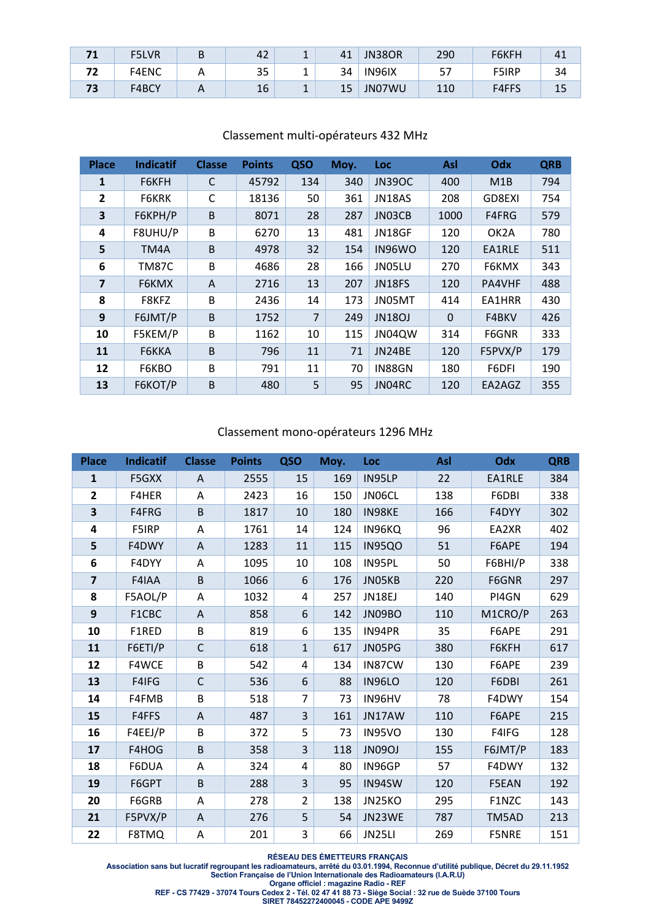|    | <b>F5LVR</b> | υ | 42 | -        | 41 | JN38OR | 290 | F6KFH        | 41 |
|----|--------------|---|----|----------|----|--------|-----|--------------|----|
| רי | F4ENC        |   | 35 |          | 34 | IN96IX | э.  | <b>F5IRP</b> | 34 |
| 73 | F4BCY        |   | 16 | <b>.</b> | 15 | JN07WU | 110 | F4FFS        | 15 |

| <b>Place</b>            | <b>Indicatif</b> | <b>Classe</b> | <b>Points</b> | QSO            | Moy. | <b>Loc</b>    | Asl         | Odx               | <b>QRB</b> |
|-------------------------|------------------|---------------|---------------|----------------|------|---------------|-------------|-------------------|------------|
| 1                       | F6KFH            | C             | 45792         | 134            | 340  | <b>JN39OC</b> | 400         | M1B               | 794        |
| 2                       | F6KRK            | С             | 18136         | 50             | 361  | JN18AS        | 208         | GD8EXI            | 754        |
| 3                       | F6KPH/P          | B             | 8071          | 28             | 287  | JN03CB        | 1000        | F4FRG             | 579        |
| 4                       | F8UHU/P          | B             | 6270          | 13             | 481  | JN18GF        | 120         | OK <sub>2</sub> A | 780        |
| 5                       | TM4A             | B             | 4978          | 32             | 154  | IN96WO        | 120         | EA1RLE            | 511        |
| 6                       | <b>TM87C</b>     | B             | 4686          | 28             | 166  | JN05LU        | 270         | F6KMX             | 343        |
| $\overline{\mathbf{z}}$ | F6KMX            | A             | 2716          | 13             | 207  | <b>JN18FS</b> | 120         | PA4VHF            | 488        |
| 8                       | F8KFZ            | B             | 2436          | 14             | 173  | JN05MT        | 414         | EA1HRR            | 430        |
| 9                       | F6JMT/P          | B             | 1752          | $\overline{7}$ | 249  | <b>JN18OJ</b> | $\mathbf 0$ | F4BKV             | 426        |
| 10                      | F5KEM/P          | B             | 1162          | 10             | 115  | JN04QW        | 314         | F6GNR             | 333        |
| 11                      | F6KKA            | B             | 796           | 11             | 71   | JN24BE        | 120         | F5PVX/P           | 179        |
| 12                      | F6KBO            | B             | 791           | 11             | 70   | IN88GN        | 180         | F6DFI             | 190        |
| 13                      | F6KOT/P          | B             | 480           | 5              | 95   | JN04RC        | 120         | EA2AGZ            | 355        |

# Classement multi‐opérateurs 432 MHz

#### Classement mono‐opérateurs 1296 MHz

| <b>Place</b>   | <b>Indicatif</b> | <b>Classe</b> | <b>Points</b> | QSO            | Moy. | Loc           | Asl | Odx     | <b>QRB</b> |
|----------------|------------------|---------------|---------------|----------------|------|---------------|-----|---------|------------|
| $\mathbf{1}$   | F5GXX            | A             | 2555          | 15             | 169  | IN95LP        | 22  | EA1RLE  | 384        |
| $\overline{2}$ | F4HER            | A             | 2423          | 16             | 150  | JN06CL        | 138 | F6DBI   | 338        |
| 3              | F4FRG            | B             | 1817          | 10             | 180  | IN98KE        | 166 | F4DYY   | 302        |
| 4              | F5IRP            | Α             | 1761          | 14             | 124  | IN96KQ        | 96  | EA2XR   | 402        |
| 5              | F4DWY            | A             | 1283          | 11             | 115  | IN95QO        | 51  | F6APE   | 194        |
| 6              | F4DYY            | A             | 1095          | 10             | 108  | IN95PL        | 50  | F6BHI/P | 338        |
| $\overline{7}$ | F4IAA            | B             | 1066          | 6              | 176  | JN05KB        | 220 | F6GNR   | 297        |
| 8              | F5AOL/P          | Α             | 1032          | 4              | 257  | <b>JN18EJ</b> | 140 | PI4GN   | 629        |
| 9              | F1CBC            | A             | 858           | 6              | 142  | JN09BO        | 110 | M1CRO/P | 263        |
| 10             | F1RED            | B             | 819           | 6              | 135  | IN94PR        | 35  | F6APE   | 291        |
| 11             | F6ETI/P          | $\mathsf{C}$  | 618           | $\mathbf{1}$   | 617  | JN05PG        | 380 | F6KFH   | 617        |
| 12             | F4WCE            | B             | 542           | 4              | 134  | IN87CW        | 130 | F6APE   | 239        |
| 13             | F4IFG            | $\mathsf{C}$  | 536           | 6              | 88   | <b>IN96LO</b> | 120 | F6DBI   | 261        |
| 14             | F4FMB            | B             | 518           | $\overline{7}$ | 73   | IN96HV        | 78  | F4DWY   | 154        |
| 15             | F4FFS            | A             | 487           | 3              | 161  | JN17AW        | 110 | F6APE   | 215        |
| 16             | F4EEJ/P          | B             | 372           | 5              | 73   | IN95VO        | 130 | F4IFG   | 128        |
| 17             | F4HOG            | B             | 358           | $\overline{3}$ | 118  | <b>JN09OJ</b> | 155 | F6JMT/P | 183        |
| 18             | F6DUA            | A             | 324           | 4              | 80   | IN96GP        | 57  | F4DWY   | 132        |
| 19             | F6GPT            | B             | 288           | 3              | 95   | IN94SW        | 120 | F5EAN   | 192        |
| 20             | F6GRB            | Α             | 278           | $\overline{2}$ | 138  | JN25KO        | 295 | F1NZC   | 143        |
| 21             | F5PVX/P          | $\mathsf{A}$  | 276           | 5              | 54   | JN23WE        | 787 | TM5AD   | 213        |
| 22             | F8TMQ            | Α             | 201           | 3              | 66   | JN25LI        | 269 | F5NRE   | 151        |

**RÉSEAU DES ÉMETTEURS FRANÇAIS** 

**Association sans but lucratif regroupant les radioamateurs, arrêté du 03.01.1994, Reconnue d'utilité publique, Décret du 29.11.1952 Section Française de l'Union Internationale des Radioamateurs (I.A.R.U)** 

**Organe officiel : magazine Radio - REF** 

**REF - CS 77429 - 37074 Tours Cedex 2 - Tél. 02 47 41 88 73 - Siège Social : 32 rue de Suède 37100 Tours**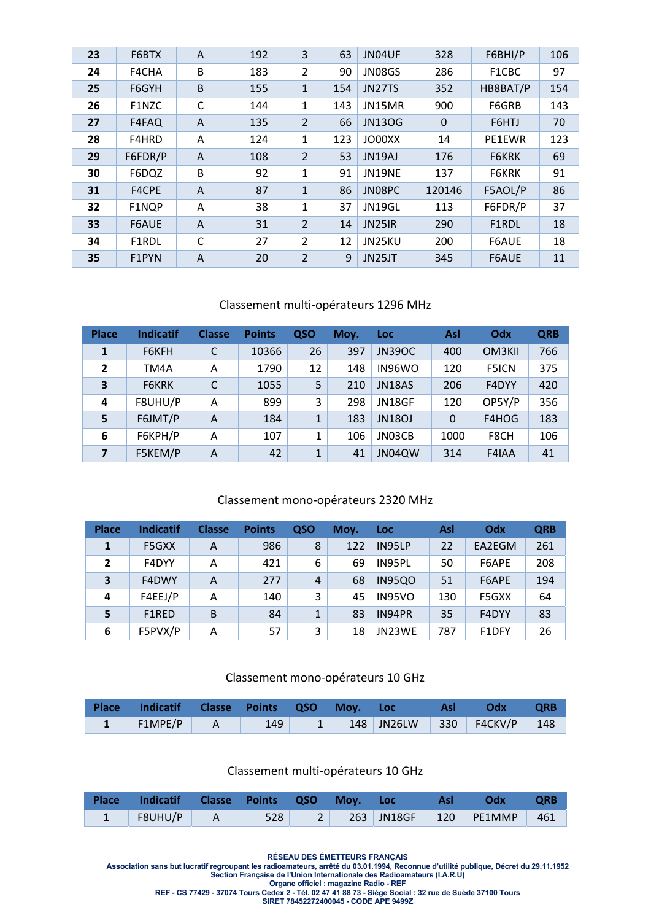| 23 | F6BTX   | A              | 192 | 3              | 63  | JN04UF        | 328         | F6BHI/P  | 106 |
|----|---------|----------------|-----|----------------|-----|---------------|-------------|----------|-----|
| 24 | F4CHA   | B              | 183 | 2              | 90  | <b>JN08GS</b> | 286         | F1CBC    | 97  |
| 25 | F6GYH   | B              | 155 | $\mathbf{1}$   | 154 | JN27TS        | 352         | HB8BAT/P | 154 |
| 26 | F1NZC   | C              | 144 | 1              | 143 | JN15MR        | 900         | F6GRB    | 143 |
| 27 | F4FAQ   | A              | 135 | $\overline{2}$ | 66  | <b>JN13OG</b> | $\mathbf 0$ | F6HTJ    | 70  |
| 28 | F4HRD   | A              | 124 | 1              | 123 | JO00XX        | 14          | PE1EWR   | 123 |
| 29 | F6FDR/P | $\overline{A}$ | 108 | $\overline{2}$ | 53  | JN19AJ        | 176         | F6KRK    | 69  |
| 30 | F6DQZ   | B              | 92  | 1              | 91  | <b>JN19NE</b> | 137         | F6KRK    | 91  |
| 31 | F4CPE   | A              | 87  | $\mathbf{1}$   | 86  | JN08PC        | 120146      | F5AOL/P  | 86  |
| 32 | F1NQP   | A              | 38  | 1              | 37  | JN19GL        | 113         | F6FDR/P  | 37  |
| 33 | F6AUE   | A              | 31  | $\overline{2}$ | 14  | <b>JN25IR</b> | 290         | F1RDL    | 18  |
| 34 | F1RDL   | C              | 27  | $\overline{2}$ | 12  | JN25KU        | 200         | F6AUE    | 18  |
| 35 | F1PYN   | $\overline{A}$ | 20  | $\overline{2}$ | 9   | JN25JT        | 345         | F6AUE    | 11  |

#### Classement multi‐opérateurs 1296 MHz

| <b>Place</b>            | <b>Indicatif</b> | <b>Classe</b> | <b>Points</b> | QSO | Moy. | Loc           | Asl      | Odx          | <b>QRB</b> |
|-------------------------|------------------|---------------|---------------|-----|------|---------------|----------|--------------|------------|
| 1                       | F6KFH            | C             | 10366         | 26  | 397  | <b>JN39OC</b> | 400      | OM3KII       | 766        |
| $\overline{2}$          | TM4A             | A             | 1790          | 12  | 148  | IN96WO        | 120      | <b>F5ICN</b> | 375        |
| 3                       | <b>F6KRK</b>     | C             | 1055          | 5   | 210  | <b>JN18AS</b> | 206      | F4DYY        | 420        |
| $\overline{\mathbf{4}}$ | F8UHU/P          | A             | 899           | 3   | 298  | JN18GF        | 120      | OP5Y/P       | 356        |
| 5                       | F6JMT/P          | A             | 184           | 1   | 183  | <b>JN18OJ</b> | $\Omega$ | F4HOG        | 183        |
| 6                       | F6KPH/P          | A             | 107           | 1   | 106  | JN03CB        | 1000     | F8CH         | 106        |
| 7                       | F5KEM/P          | A             | 42            | 1   | 41   | JN04QW        | 314      | F4IAA        | 41         |

#### Classement mono‐opérateurs 2320 MHz

| <b>Place</b> | <b>Indicatif</b> | <b>Classe</b> | <b>Points</b> | QSO          | Moy. | Loc           | Asl | Odx    | <b>QRB</b> |
|--------------|------------------|---------------|---------------|--------------|------|---------------|-----|--------|------------|
| 1            | F5GXX            | Α             | 986           | 8            | 122  | IN95LP        | 22  | EA2EGM | 261        |
| 2            | F4DYY            | Α             | 421           | 6            | 69   | IN95PL        | 50  | F6APE  | 208        |
| 3            | F4DWY            | Α             | 277           | 4            | 68   | <b>IN95QO</b> | 51  | F6APE  | 194        |
| 4            | F4EEJ/P          | Λ             | 140           | 3            | 45   | IN95VO        | 130 | F5GXX  | 64         |
| 5            | F1RED            | B             | 84            | $\mathbf{1}$ | 83   | IN94PR        | 35  | F4DYY  | 83         |
| 6            | F5PVX/P          | Α             | 57            | 3            | 18   | JN23WE        | 787 | F1DFY  | 26         |

#### Classement mono‐opérateurs 10 GHz

| Place Indicatif Classe Points QSO Moy. Loc |     |  |  | Asl Odx QRB |  |
|--------------------------------------------|-----|--|--|-------------|--|
| $1$   F1MPE/P   A                          | 149 |  |  |             |  |

#### Classement multi‐opérateurs 10 GHz

| Place Indicatif Classe Points QSO Moy. Loc Asl Odx QRB        |  |  |  |  |
|---------------------------------------------------------------|--|--|--|--|
| 1   F8UHU/P   A   528   2   263   JN18GF   120   PE1MMP   461 |  |  |  |  |

**RÉSEAU DES ÉMETTEURS FRANÇAIS** 

**Association sans but lucratif regroupant les radioamateurs, arrêté du 03.01.1994, Reconnue d'utilité publique, Décret du 29.11.1952 Section Française de l'Union Internationale des Radioamateurs (I.A.R.U)** 

**Organe officiel : magazine Radio - REF** 

**REF - CS 77429 - 37074 Tours Cedex 2 - Tél. 02 47 41 88 73 - Siège Social : 32 rue de Suède 37100 Tours**